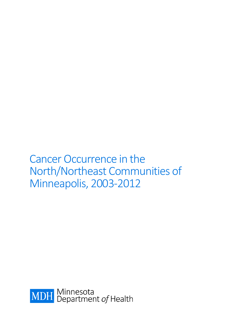Cancer Occurrence in the North/Northeast Communities of Minneapolis, 2003-2012

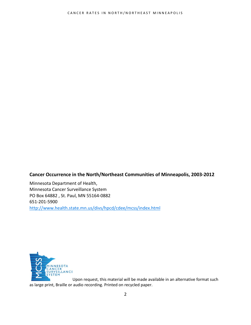#### **Cancer Occurrence in the North/Northeast Communities of Minneapolis, 2003-2012**

Minnesota Department of Health, Minnesota Cancer Surveillance System PO Box 64882 , St. Paul, MN 55164-0882 651-201-5900 <http://www.health.state.mn.us/divs/hpcd/cdee/mcss/index.html>



Upon request, this material will be made available in an alternative format such as large print, Braille or audio recording. Printed on recycled paper.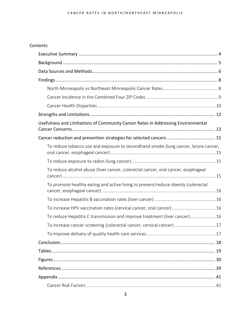#### CANCER RATES IN NORTH/NORTHEAST MINNEAPOLIS

#### Contents

| Usefulness and Limitations of Community Cancer Rates in Addressing Environmental    |
|-------------------------------------------------------------------------------------|
|                                                                                     |
| To reduce tobacco use and exposure to secondhand smoke (lung cancer, larynx cancer, |
|                                                                                     |
| To reduce alcohol abuse (liver cancer, colorectal cancer, oral cancer, esophageal   |
| To promote healthy eating and active living to prevent/reduce obesity (colorectal   |
|                                                                                     |
| To increase HPV vaccination rates (cervical cancer, oral cancer) 16                 |
| To reduce Hepatitis C transmission and improve treatment (liver cancer)16           |
| To increase cancer screening (colorectal cancer, cervical cancer) 17                |
|                                                                                     |
|                                                                                     |
|                                                                                     |
|                                                                                     |
|                                                                                     |
|                                                                                     |
|                                                                                     |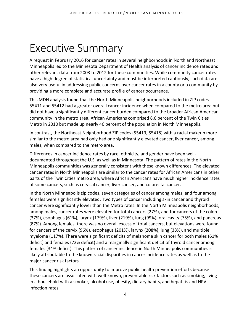## <span id="page-3-0"></span>Executive Summary

A request in February 2016 for cancer rates in several neighborhoods in North and Northeast Minneapolis led to the Minnesota Department of Health analysis of cancer incidence rates and other relevant data from 2003 to 2012 for these communities. While community cancer rates have a high degree of statistical uncertainty and must be interpreted cautiously, such data are also very useful in addressing public concerns over cancer rates in a county or a community by providing a more complete and accurate profile of cancer occurrence.

This MDH analysis found that the North Minneapolis neighborhoods included in ZIP codes 55411 and 55412 had a greater overall cancer incidence when compared to the metro area but did not have a significantly different cancer burden compared to the broader African American community in the metro area. African Americans comprised 8.6 percent of the Twin Cities Metro in 2010 but made up nearly 46 percent of the population in North Minneapolis.

In contrast, the Northeast Neighborhood ZIP codes (55413, 55418) with a racial makeup more similar to the metro area had only had one significantly elevated cancer, liver cancer, among males, when compared to the metro area.

Differences in cancer incidence rates by race, ethnicity, and gender have been welldocumented throughout the U.S. as well as in Minnesota. The pattern of rates in the North Minneapolis communities was generally consistent with these known differences. The elevated cancer rates in North Minneapolis are similar to the cancer rates for African Americans in other parts of the Twin Cities metro area, where African Americans have much higher incidence rates of some cancers, such as cervical cancer, liver cancer, and colorectal cancer.

In the North Minneapolis zip codes, seven categories of cancer among males, and four among females were significantly elevated. Two types of cancer including skin cancer and thyroid cancer were significantly lower than the Metro rates. In the North Minneapolis neighborhoods, among males, cancer rates were elevated for total cancers (27%), and for cancers of the colon (37%), esophagus (61%), larynx (179%), liver (219%), lung (99%), oral cavity (75%), and pancreas (87%). Among females, there was no overall excess of total cancers, but elevations were found for cancers of the cervix (96%), esophagus (201%), larynx (208%), lung (38%), and multiple myeloma (117%). There were significant deficits of melanoma skin cancer for both males (61% deficit) and females (72% deficit) and a marginally significant deficit of thyroid cancer among females (34% deficit). This pattern of cancer incidence in North Minneapolis communities is likely attributable to the known racial disparities in cancer incidence rates as well as to the major cancer risk factors.

This finding highlights an opportunity to improve public health prevention efforts because these cancers are associated with well-known, preventable risk factors such as smoking, living in a household with a smoker, alcohol use, obesity, dietary habits, and hepatitis and HPV infection rates.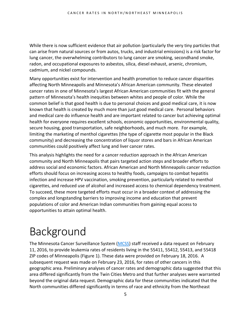While there is now sufficient evidence that air pollution (particularly the very tiny particles that can arise from natural sources or from autos, trucks, and industrial emissions) is a risk factor for lung cancer, the overwhelming contributors to lung cancer are smoking, secondhand smoke, radon, and occupational exposures to asbestos, silica, diesel exhaust, arsenic, chromium, cadmium, and nickel compounds.

Many opportunities exist for intervention and health promotion to reduce cancer disparities affecting North Minneapolis and Minnesota's African American community. These elevated cancer rates in one of Minnesota's largest African American communities fit with the general pattern of Minnesota's health inequities between whites and people of color. While the common belief is that good health is due to personal choices and good medical care, it is now known that health is created by much more than just good medical care. Personal behaviors and medical care do influence health and are important related to cancer but achieving optimal health for everyone requires excellent schools, economic opportunities, environmental quality, secure housing, good transportation, safe neighborhoods, and much more. For example, limiting the marketing of menthol cigarettes (the type of cigarette most popular in the Black community) and decreasing the concentration of liquor stores and bars in African American communities could positively affect lung and liver cancer rates.

This analysis highlights the need for a cancer reduction approach in the African American community and North Minneapolis that pairs targeted action steps and broader efforts to address social and economic factors. African American and North Minneapolis cancer reduction efforts should focus on increasing access to healthy foods, campaigns to combat hepatitis infection and increase HPV vaccination, smoking prevention, particularly related to menthol cigarettes, and reduced use of alcohol and increased access to chemical dependency treatment. To succeed, these more targeted efforts must occur in a broader context of addressing the complex and longstanding barriers to improving income and education that prevent populations of color and American Indian communities from gaining equal access to opportunities to attain optimal health.

## <span id="page-4-0"></span>Background

The Minnesota Cancer Surveillance System [\(MCSS\)](http://www.health.state.mn.us/divs/hpcd/cdee/mcss/index.html) staff received a data request on February 11, 2016, to provide leukemia rates of residents living in the 55411, 55412, 55413, and 55418 ZIP codes of Minneapolis (Figure 1). These data were provided on February 18, 2016. A subsequent request was made on February 23, 2016, for rates of other cancers in this geographic area. Preliminary analyses of cancer rates and demographic data suggested that this area differed significantly from the Twin Cities Metro and that further analyses were warranted beyond the original data request. Demographic data for these communities indicated that the North communities differed significantly in terms of race and ethnicity from the Northeast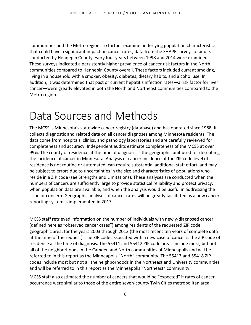communities and the Metro region. To further examine underlying population characteristics that could have a significant impact on cancer rates, data from the SHAPE surveys of adults conducted by Hennepin County every four years between 1998 and 2014 were examined. These surveys indicated a persistently higher prevalence of cancer risk factors in the North communities compared to Hennepin County overall. These factors included current smoking, living in a household with a smoker, obesity, diabetes, dietary habits, and alcohol use. In addition, it was determined that past or current hepatitis infection rates—a risk factor for liver cancer—were greatly elevated in both the North and Northeast communities compared to the Metro region.

## <span id="page-5-0"></span>Data Sources and Methods

.

The MCSS is Minnesota's statewide cancer registry (database) and has operated since 1988. It collects diagnostic and related data on all cancer diagnoses among Minnesota residents. The data come from hospitals, clinics, and pathology laboratories and are carefully reviewed for completeness and accuracy. Independent audits estimate completeness of the MCSS at over 99%. The county of residence at the time of diagnosis is the geographic unit used for describing the incidence of cancer in Minnesota. Analysis of cancer incidence at the ZIP code level of residence is not routine or automated, can require substantial additional staff effort, and may be subject to errors due to uncertainties in the size and characteristics of populations who reside in a ZIP code (see Strengths and Limitations). These analyses are conducted when the numbers of cancers are sufficiently large to provide statistical reliability and protect privacy, when population data are available, and when the analysis would be useful in addressing the issue or concern. Geographic analyses of cancer rates will be greatly facilitated as a new cancer reporting system is implemented in 2017.

MCSS staff retrieved information on the number of individuals with newly-diagnosed cancer (defined here as "observed cancer cases") among residents of the requested ZIP code geographic area, for the years 2003 through 2012 (the most recent ten years of complete data at the time of the request). The ZIP code associated with a new case of cancer is the ZIP code of residence at the time of diagnosis. The 55411 and 55412 ZIP code areas include most, but not all of the neighborhoods in the Camden and North communities of Minneapolis and will be referred to in this report as the Minneapolis "North" community. The 55413 and 55418 ZIP codes include most but not all the neighborhoods in the Northeast and University communities and will be referred to in this report as the Minneapolis "Northeast" community.

MCSS staff also estimated the number of cancers that would be "expected" if rates of cancer occurrence were similar to those of the entire seven-county Twin Cities metropolitan area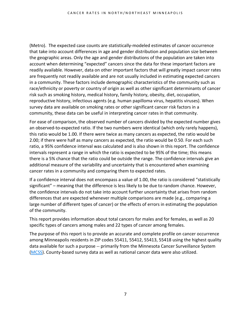(Metro). The expected case counts are statistically-modeled estimates of cancer occurrence that take into account differences in age and gender distribution and population size between the geographic areas. Only the age and gender distributions of the population are taken into account when determining "expected" cancers since the data for these important factors are readily available. However, data on other important factors that will greatly impact cancer rates are frequently not readily available and are not usually included in estimating expected cancers in a community. These factors include demographic characteristics of the community such as race/ethnicity or poverty or country of origin as well as other significant determinants of cancer risk such as smoking history, medical history, family history, obesity, diet, occupation, reproductive history, infectious agents (e.g. human papilloma virus, hepatitis viruses). When survey data are available on smoking rates or other significant cancer risk factors in a community, these data can be useful in interpreting cancer rates in that community.

For ease of comparison, the observed number of cancers divided by the expected number gives an observed-to-expected ratio. If the two numbers were identical (which only rarely happens), this ratio would be 1.00. If there were twice as many cancers as expected, the ratio would be 2.00; if there were half as many cancers as expected, the ratio would be 0.50. For each such ratio, a 95% confidence interval was calculated and is also shown in this report. The confidence intervals represent a range in which the ratio is expected to be 95% of the time; this means there is a 5% chance that the ratio could be outside the range. The confidence intervals give an additional measure of the variability and uncertainty that is encountered when examining cancer rates in a community and comparing them to expected rates.

If a confidence interval does not encompass a value of 1.00, the ratio is considered "statistically significant" – meaning that the difference is less likely to be due to random chance. However, the confidence intervals do not take into account further uncertainty that arises from random differences that are expected whenever multiple comparisons are made (e.g., comparing a large number of different types of cancer) or the effects of errors in estimating the population of the community.

This report provides information about total cancers for males and for females, as well as 20 specific types of cancers among males and 22 types of cancer among females.

The purpose of this report is to provide an accurate and complete profile on cancer occurrence among Minneapolis residents in ZIP codes 55411, 55412, 55413, 55418 using the highest quality data available for such a purpose -- primarily from the Minnesota Cancer Surveillance System [\(MCSS\)](http://www.health.state.mn.us/divs/hpcd/cdee/mcss/index.html). County-based survey data as well as national cancer data were also utilized.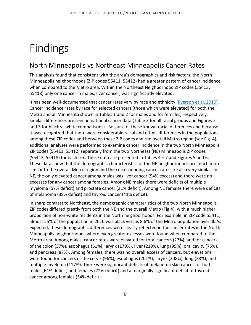# <span id="page-7-0"></span>Findings

### <span id="page-7-1"></span>North Minneapolis vs Northeast Minneapolis Cancer Rates

This analysis found that consistent with the area's demographics and risk factors, the North Minneapolis neighborhoods (ZIP codes 55411, 55412) had a greater pattern of cancer incidence when compared to the Metro area. Within the Northeast Neighborhood ZIP codes (55413, 55418) only one cancer in males, liver cancer, was significantly elevated.

It has been well-documented that cancer rates vary by race and ethnicity [\(Ryerson et al, 2016\)](http://onlinelibrary.wiley.com/doi/10.1002/cncr.29936/full). Cancer incidence rates by race for selected cancers (those which were elevated) for both the Metro and all Minnesota shown in Tables 1 and 2 for males and for females, respectively. Similar differences are seen in national cancer data (Table 3 for all racial groups and Figures 2 and 3 for black vs white comparisons). Because of these known racial differences and because it was recognized that there were considerable racial and ethnic differences in the populations among these ZIP codes and between these ZIP codes and the overall Metro region (see Fig. 4), additional analyses were performed to examine cancer incidence in the two North Minneapolis ZIP codes (55411, 55412) separately from the two Northeast (NE) Minneapolis ZIP codes  $(55413, 55418)$  for each sex. These data are presented in Tables  $4 - 7$  and Figures 5 and 6. These data show that the demographic characteristics of the NE neighborhoods are much more similar to the overall Metro region and the corresponding cancer rates are also very similar. In NE, the only elevated cancer among males was liver cancer (94% excess) and there were no excesses for any cancer among females. Among NE males there were deficits of multiple myeloma (57% deficit) and prostate cancer (21% deficit). Among NE females there were deficits of melanoma (38% deficit) and thyroid cancer (41% deficit).

In sharp contrast to Northeast, the demographic characteristics of the two North Minneapolis ZIP codes differed greatly from both the NE and the overall Metro (Fig.4), with a much higher proportion of non-white residents in the North neighborhoods. For example, in ZIP code 55411, almost 55% of the population in 2010 was black versus 8.6% of the Metro population overall. As expected, these demographic differences were clearly reflected in the cancer rates in the North Minneapolis neighborhoods where even greater excesses were found when compared to the Metro area. Among males, cancer rates were elevated for total cancers (27%), and for cancers of the colon (37%), esophagus (61%), larynx (179%), liver (219%), lung (99%), oral cavity (75%), and pancreas (87%). Among females, there was no overall excess of cancers, but elevations were found for cancers of the cervix (96%), esophagus (201%), larynx (208%), lung (38%), and multiple myeloma (117%). There were significant deficits of melanoma skin cancer for both males (61% deficit) and females (72% deficit) and a marginally significant deficit of thyroid cancer among females (34% deficit).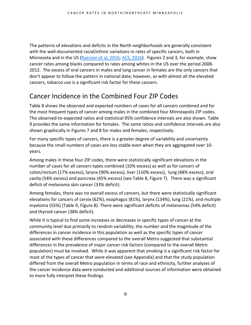The patterns of elevations and deficits in the North neighborhoods are generally consistent with the well-documented racial/ethnic variations in rates of specific cancers, both in Minnesota and in the US [\(Ryerson et al, 2016;](http://onlinelibrary.wiley.com/doi/10.1002/cncr.29936/full) [ACS, 2016\)](http://www.cancer.org/acs/groups/content/@editorial/documents/document/acspc-047403.pdf). Figures 2 and 3, for example, show cancer rates among blacks compared to rates among whites in the US over the period 2008- 2012. The excess of oral cancers in males and lung cancer in females are the only cancers that don't appear to follow the pattern in national data; however, as with almost all the elevated cancers, tobacco use is a significant risk factor for these cancers.

## <span id="page-8-0"></span>Cancer Incidence in the Combined Four ZIP Codes

Table 8 shows the observed and expected numbers of cases for all cancers combined and for the most frequent types of cancer among males in the combined four Minneapolis ZIP codes. The observed-to-expected ratios and statistical 95% confidence intervals are also shown. Table 9 provides the same information for females. The same ratios and confidence intervals are also shown graphically in Figures 7 and 8 for males and females, respectively.

For many specific types of cancers, there is a greater degree of variability and uncertainty because the small numbers of cases are less stable even when they are aggregated over 10 years.

Among males in these four ZIP codes, there were statistically significant elevations in the number of cases for all cancers types combined (10% excess) as well as for cancers of colon/rectum (17% excess), larynx (90% excess), liver (150% excess), lung (48% excess), oral cavity (54% excess) and pancreas (45% excess) (see Table 8, Figure 7). There was a significant deficit of melanoma skin cancer (33% deficit).

Among females, there was no overall excess of cancers, but there were statistically significant elevations for cancers of cervix (62%), esophagus (81%), larynx (134%), lung (21%), and multiple myeloma (55%) (Table 9, Figure 8). There were significant deficits of melanomas (54% deficit) and thyroid cancer (38% deficit).

While it is typical to find some increases or decreases in specific types of cancer at the community level due primarily to random variability, the number and the magnitude of the differences in cancer incidence in this population as well as the specific types of cancer associated with these differences compared to the overall Metro suggested that substantial differences in the prevalence of major cancer risk factors (compared to the overall Metro population) must be involved. While it was apparent that smoking is a significant risk factor for most of the types of cancer that were elevated (see Appendix) and that the study population differed from the overall Metro population in terms of race and ethnicity, further analyses of the cancer incidence data were conducted and additional sources of information were obtained to more fully interpret these findings.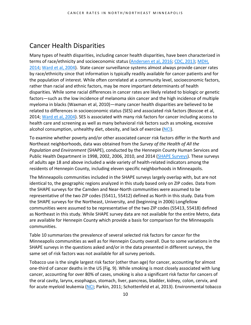### <span id="page-9-0"></span>Cancer Health Disparities

Many types of health disparities, including cancer health disparities, have been characterized in terms of race/ethnicity and socioeconomic status [\(Andersen et al, 2016;](http://www.ncbi.nlm.nih.gov/pubmed/26965499?dopt=Abstract) [CDC, 2013;](http://www.cdc.gov/minorityhealth/chdireport.html) [MDH,](http://www.health.state.mn.us/divs/chs/healthequity/ahe_leg_report_020414.pdf)  [2014;](http://www.health.state.mn.us/divs/chs/healthequity/ahe_leg_report_020414.pdf) [Ward et al, 2004\)](http://onlinelibrary.wiley.com/doi/10.3322/canjclin.54.2.78/full). State cancer surveillance systems almost always provide cancer rates by race/ethnicity since that information is typically readily available for cancer patients and for the population of interest. While often correlated at a community level, socioeconomic factors, rather than racial and ethnic factors, may be more important determinants of health disparities. While some racial differences in cancer rates are likely related to biologic or genetic factors—such as the low incidence of melanoma skin cancer and the high incidence of multiple myeloma in blacks (Waxman et al, 2010)—many cancer health disparities are believed to be related to differences in socioeconomic status (SES) and associated risk factors (Boscoe et al, 2014; [Ward et al, 2004\)](http://onlinelibrary.wiley.com/doi/10.3322/canjclin.54.2.78/full). SES is associated with many risk factors for cancer including access to health care and screening as well as many behavioral risk factors such as smoking, excessive alcohol consumption, unhealthy diet, obesity, and lack of exercise [\(NCI\)](http://www.cancer.gov/about-nci/organization/crchd/about-health-disparities/examples).

To examine whether poverty and/or other associated cancer risk factors differ in the North and Northeast neighborhoods, data was obtained from the *Survey of the Health of All the Population and Environment* (SHAPE), conducted by the Hennepin County Human Services and Public Health Department in 1998, 2002, 2006, 2010, and 2014 [\(SHAPE Surveys\)](http://www.hennepin.us/your-government/research-data/shape-surveys). These surveys of adults age 18 and above included a wide variety of health-related indicators among the residents of Hennepin County, including eleven specific neighborhoods in Minneapolis.

The Minneapolis communities included in the SHAPE surveys largely overlap with, but are not identical to, the geographic regions analyzed in this study based only on ZIP codes. Data from the SHAPE surveys for the Camden and Near-North communities were assumed to be representative of the two ZIP codes (55411, 55412) defined as North in this study. Data from the SHAPE surveys for the Northeast, University, and (beginning in 2006) Longfellow communities were assumed to be representative of the two ZIP codes (55413, 55418) defined as Northeast in this study. While SHAPE survey data are not available for the entire Metro, data are available for Hennepin County which provide a basis for comparison for the Minneapolis communities.

Table 10 summarizes the prevalence of several selected risk factors for cancer for the Minneapolis communities as well as for Hennepin County overall. Due to some variations in the SHAPE surveys in the questions asked and/or in the data presented in different surveys, the same set of risk factors was not available for all survey periods.

Tobacco use is the single largest risk factor (other than age) for cancer, accounting for almost one-third of cancer deaths in the US (Fig. 9). While smoking is most closely associated with lung cancer, accounting for over 80% of cases, smoking is also a significant risk factor for cancers of the oral cavity, larynx, esophagus, stomach, liver, pancreas, bladder, kidney, colon, cervix, and for acute myeloid leukemia [\(NCI;](http://www.cancer.gov/about-cancer/causes-prevention/risk) Parkin, 2011; Schottenfeld et al, 2013). Environmental tobacco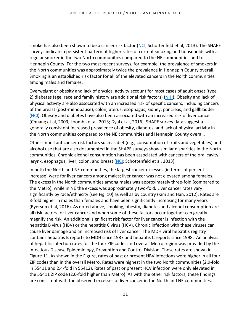smoke has also been shown to be a cancer risk factor [\(NCI;](http://www.cancer.gov/about-cancer/causes-prevention/risk) Schottenfeld et al, 2013). The SHAPE surveys indicate a persistent pattern of higher rates of current smoking and households with a regular smoker in the two North communities compared to the NE communities and to Hennepin County. For the two most recent surveys, for example, the prevalence of smokers in the North communities was approximately twice the prevalence in Hennepin County overall. Smoking is an established risk factor for all of the elevated cancers in the North communities among males and females.

Overweight or obesity and lack of physical activity account for most cases of adult onset (type 2) diabetes (age, race and family history are additional risk factors) [\(NIH\)](http://www.niddk.nih.gov/health-information/health-topics/Diabetes/causes-diabetes/Pages/index.aspx). Obesity and lack of physical activity are also associated with an increased risk of specific cancers, including cancers of the breast (post-menopause), colon, uterus, esophagus, kidney, pancreas, and gallbladder [\(NCI\)](http://www.cancer.gov/about-cancer/causes-prevention/risk). Obesity and diabetes have also been associated with an increased risk of liver cancer (Chuang et al, 2009; Loomba et al, 2013; Dyal et al, 2016). SHAPE survey data suggest a generally consistent increased prevalence of obesity, diabetes, and lack of physical activity in the North communities compared to the NE communities and Hennepin County overall.

Other important cancer risk factors such as diet (e.g., consumption of fruits and vegetables) and alcohol use that are also documented in the SHAPE surveys show similar disparities in the North communities. Chronic alcohol consumption has been associated with cancers of the oral cavity, larynx, esophagus, liver, colon, and breast [\(NCI;](http://www.cancer.gov/about-cancer/causes-prevention/risk) Schottenfeld et al, 2013).

In both the North and NE communities, the largest cancer excesses (in terms of percent increase) were for liver cancers among males; liver cancer was not elevated among females. The excess in the North communities among males was approximately three-fold (compared to the Metro), while in NE the excess was approximately two-fold. Liver cancer rates vary significantly by race/ethnicity (see Fig. 10) as well as by country (Kim and Han, 2012). Rates are 3-fold higher in males than females and have been significantly increasing for many years (Ryerson et al, 2016). As noted above, smoking, obesity, diabetes and alcohol consumption are all risk factors for liver cancer and when some of these factors occur together can greatly magnify the risk. An additional significant risk factor for liver cancer is infection with the hepatitis B virus (HBV) or the hepatitis C virus (HCV). Chronic infection with these viruses can cause liver damage and an increased risk of liver cancer. The MDH viral hepatitis registry contains hepatitis B reports to MDH since 1987 and hepatitis C reports since 1998. An analysis of hepatitis infection rates for the four ZIP codes and overall Metro region was provided by the Infectious Disease Epidemiology, Prevention and Control Division. These rates are shown in Figure 11. As shown in the Figure, rates of past or present HBV infections were higher in all four ZIP codes than in the overall Metro. Rates were highest in the two North communities (2.9-fold in 55411 and 2.4-fold in 55412). Rates of past or present HCV infection were only elevated in the 55411 ZIP code (2.0-fold higher than Metro). As with the other risk factors, these findings are consistent with the observed excesses of liver cancer in the North and NE communities.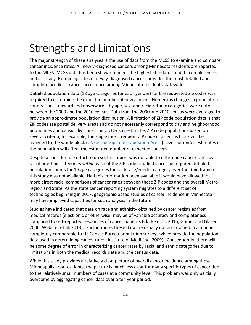## <span id="page-11-0"></span>Strengths and Limitations

The major strength of these analyses is the use of data from the MCSS to examine and compare cancer incidence rates. All newly-diagnosed cancers among Minnesota residents are reported to the MCSS. MCSS data has been shown to meet the highest standards of data completeness and accuracy. Examining rates of newly-diagnosed cancers provides the most detailed and complete profile of cancer occurrence among Minnesota residents statewide.

Detailed population data (18 age categories for each gender) for the requested zip codes was required to determine the expected number of new cancers. Numerous changes in population counts—both upward and downward—by age, sex, and racial/ethnic categories were noted between the 2000 and the 2010 census. Data from the 2000 and 2010 census were averaged to provide an approximate population distribution. A limitation of ZIP code population data is that ZIP codes are postal delivery areas and do not necessarily correspond to city and neighborhood boundaries and census divisions. The US Census estimates ZIP code populations based on several criteria; for example, the single most frequent ZIP code in a census block will be assigned to the whole block [\(US Census Zip Code Tabulation Areas\)](http://www.census.gov/geo/reference/zctas.html). Over- or under-estimates of the population will affect the estimated number of expected cancers.

Despite a considerable effort to do so, this report was not able to determine cancer rates by racial or ethnic categories *within* each of the ZIP codes studied since the required detailed population counts for 19 age categories for each race/gender category over the time frame of this study was not available. Had this information been available it would have allowed for more direct racial comparisons of cancer rates between these ZIP codes and the overall Metro region and State. As the state cancer reporting system migrates to a different set of technologies beginning in 2017, geographic-based studies of cancer incidence in Minnesota may have improved capacities for such analyses in the future.

Studies have indicated that data on race and ethnicity obtained by cancer registries from medical records (electronic or otherwise) may be of variable accuracy and completeness compared to self-reported responses of cancer patients (Clarke et al, 2016; Gomer and Glaser, 2006; Webster et al, 2013). Furthermore, these data are usually not ascertained in a manner completely comparable to US Census Bureau population surveys which provide the population data used in determining cancer rates (Institute of Medicine, 2009). Consequently, there will be some degree of error in characterizing cancer rates by racial and ethnic categories due to limitations in both the medical records data and the census data.

While this study provides a relatively clear picture of overall cancer incidence among these Minneapolis area residents, the picture is much less clear for many specific types of cancer due to the relatively small numbers of cases at a community level. This problem was only partially overcome by aggregating cancer data over a ten year period.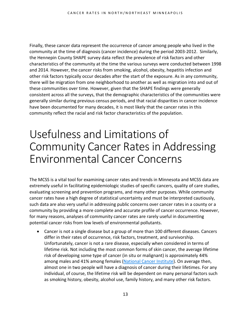Finally, these cancer data represent the occurrence of cancer among people who lived in the community at the time of diagnosis (cancer incidence) during the period 2003-2012. Similarly, the Hennepin County SHAPE survey data reflect the prevalence of risk factors and other characteristics of the community at the time the various surveys were conducted between 1998 and 2014. However, the cancer risks from smoking, alcohol, obesity, hepatitis infection and other risk factors typically occur decades after the start of the exposure. As in any community, there will be migration from one neighborhood to another as well as migration into and out of these communities over time. However, given that the SHAPE findings were generally consistent across all the surveys, that the demographic characteristics of the communities were generally similar during previous census periods, and that racial disparities in cancer incidence have been documented for many decades, it is most likely that the cancer rates in this community reflect the racial and risk factor characteristics of the population.

## <span id="page-12-0"></span>Usefulness and Limitations of Community Cancer Rates in Addressing Environmental Cancer Concerns

The MCSS is a vital tool for examining cancer rates and trends in Minnesota and MCSS data are extremely useful in facilitating epidemiologic studies of specific cancers, quality of care studies, evaluating screening and prevention programs, and many other purposes. While community cancer rates have a high degree of statistical uncertainty and must be interpreted cautiously, such data are also very useful in addressing public concerns over cancer rates in a county or a community by providing a more complete and accurate profile of cancer occurrence. However, for many reasons, analyses of community cancer rates are rarely useful in documenting potential cancer risks from low levels of environmental pollutants.

• Cancer is not a single disease but a group of more than 100 different diseases. Cancers differ in their rates of occurrence, risk factors, treatment, and survivorship. Unfortunately, cancer is not a rare disease, especially when considered in terms of lifetime risk. Not including the most common forms of skin cancer, the average lifetime risk of developing some type of cancer (in situ or malignant) is approximately 44% among males and 41% among females [\(National Cancer Institute\)](http://surveillance.cancer.gov/devcan/canques.html). On average then, almost one in two people will have a diagnosis of cancer during their lifetimes. For any individual, of course, the lifetime risk will be dependent on many personal factors such as smoking history, obesity, alcohol use, family history, and many other risk factors.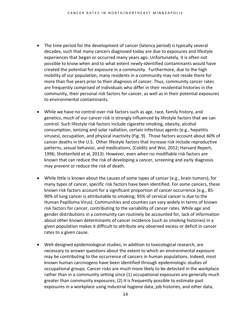- The time period for the development of cancer (latency period) is typically several decades, such that many cancers diagnosed today are due to exposures and lifestyle experiences that began or occurred many years ago. Unfortunately, it is often not possible to know when and to what extent newly-identified contaminants would have created the potential for exposure in a community. Furthermore, due to the high mobility of our population, many residents in a community may not reside there for more than five years prior to their diagnosis of cancer. Thus, community cancer rates are frequently comprised of individuals who differ in their residential histories in the community, their personal risk factors for cancer, as well as in their potential exposures to environmental contaminants.
- While we have no control over risk factors such as age, race, family history, and genetics, much of our cancer risk is strongly influenced by lifestyle factors that we can control. Such lifestyle risk factors include cigarette smoking, obesity, alcohol consumption, ionizing and solar radiation, certain infectious agents (e.g., hepatitis viruses), occupation, and physical inactivity (Fig. 9). Those factors account about 60% of cancer deaths in the U.S. Other lifestyle factors that increase risk include reproductive patterns, sexual behavior, and medications, (Colditz and Wei, 2012; Harvard Report, 1996; Shottenfeld et al, 2013). However, even when no modifiable risk factors are known that can reduce the risk of developing a cancer, screening and early diagnosis may prevent or reduce the risk of death.
- While little is known about the causes of some types of cancer (e.g., brain tumors), for many types of cancer, specific risk factors have been identified. For some cancers, these known risk factors account for a significant proportion of cancer occurrence (e.g., 85- 90% of lung cancer is attributable to smoking; 95% of cervical cancer is due to the Human Papilloma Virus). Communities and counties can vary widely in terms of known risk factors for cancer, contributing to the variability of cancer rates. While age and gender distributions in a community can routinely be accounted for, lack of information about other known determinants of cancer incidence (such as smoking histories) in a given population makes it difficult to attribute any observed excess or deficit in cancer rates to a given cause.
- Well-designed epidemiological studies, in addition to toxicological research, are necessary to answer questions about the extent to which an environmental exposure may be contributing to the occurrence of cancers in human populations. Indeed, most known human carcinogens have been identified through epidemiologic studies of occupational groups. Cancer risks are much more likely to be detected in the workplace rather than in a community setting since (1) occupational exposures are generally much greater than community exposures; (2) it is frequently possible to estimate past exposures in a workplace using industrial hygiene data, job histories, and other data;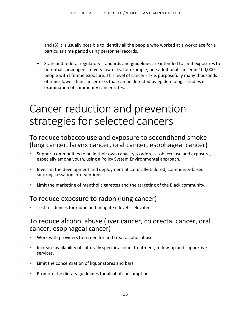and (3) it is usually possible to identify all the people who worked at a workplace for a particular time period using personnel records.

• State and federal regulatory standards and guidelines are intended to limit exposures to potential carcinogens to very low risks, for example, one additional cancer in 100,000 people with lifetime exposure. This level of cancer risk is purposefully many thousands of times lower than cancer risks that can be detected by epidemiologic studies or examination of community cancer rates.

## <span id="page-14-0"></span>Cancer reduction and prevention strategies for selected cancers

### <span id="page-14-1"></span>To reduce tobacco use and exposure to secondhand smoke (lung cancer, larynx cancer, oral cancer, esophageal cancer)

- Support communities to build their own capacity to address tobacco use and exposure, especially among youth, using a Policy System Environmental approach.
- Invest in the development and deployment of culturally-tailored, community-based smoking cessation interventions.
- Limit the marketing of menthol cigarettes and the targeting of the Black community.

### <span id="page-14-2"></span>To reduce exposure to radon (lung cancer)

Test residences for radon and mitigate if level is elevated

### <span id="page-14-3"></span>To reduce alcohol abuse (liver cancer, colorectal cancer, oral cancer, esophageal cancer)

- Work with providers to screen for and treat alcohol abuse.
- **•** Increase availability of culturally specific alcohol treatment, follow-up and supportive services.
- Limit the concentration of liquor stores and bars.
- **Promote the dietary guidelines for alcohol consumption.**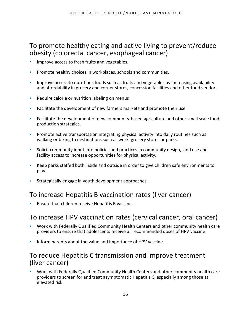## <span id="page-15-0"></span>To promote healthy eating and active living to prevent/reduce obesity (colorectal cancer, esophageal cancer)

- Improve access to fresh fruits and vegetables.
- Promote healthy choices in workplaces, schools and communities.
- Improve access to nutritious foods such as fruits and vegetables by increasing availability and affordability in grocery and corner stores, concession facilities and other food vendors
- Require calorie or nutrition labeling on menus
- Facilitate the development of new farmers markets and promote their use
- Facilitate the development of new community-based agriculture and other small scale food production strategies.
- **•** Promote active transportation integrating physical activity into daily routines such as walking or biking to destinations such as work, grocery stores or parks.
- Solicit community input into policies and practices in community design, land use and facility access to increase opportunities for physical activity.
- Keep parks staffed both inside and outside in order to give children safe environments to play.
- Strategically engage in youth development approaches.

### <span id="page-15-1"></span>To increase Hepatitis B vaccination rates (liver cancer)

Ensure that children receive Hepatitis B vaccine.

### <span id="page-15-2"></span>To increase HPV vaccination rates (cervical cancer, oral cancer)

- Work with Federally Qualified Community Health Centers and other community health care providers to ensure that adolescents receive all recommended doses of HPV vaccine
- Inform parents about the value and importance of HPV vaccine.

### <span id="page-15-3"></span>To reduce Hepatitis C transmission and improve treatment (liver cancer)

Work with Federally Qualified Community Health Centers and other community health care providers to screen for and treat asymptomatic Hepatitis C, especially among those at elevated risk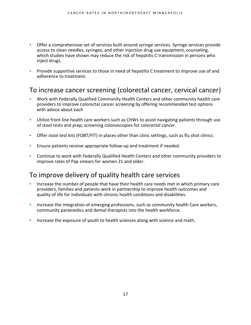- Offer a comprehensive set of services built around syringe services. Syringe services provide access to clean needles, syringes, and other injection drug use equipment, counseling, which studies have shown may reduce the risk of hepatitis C transmission in persons who inject drugs.
- Provide supportive services to those in need of hepatitis C treatment to improve use of and adherence to treatment.

### <span id="page-16-0"></span>To increase cancer screening (colorectal cancer, cervical cancer)

- Work with Federally Qualified Community Health Centers and other community health care providers to improve colorectal cancer screening by offering recommended test options with advice about each
- Utilize front line health care workers such as CHWs to assist navigating patients through use of stool tests and prep, screening colonoscopies for colorectal cancer.
- Offer stool test kits (FOBT/FIT) in places other than clinic settings, such as flu shot clinics.
- Ensure patients receive appropriate follow-up and treatment if needed.
- Continue to work with Federally Qualified Health Centers and other community providers to improve rates of Pap smears for women 21 and older.

### <span id="page-16-1"></span>To improve delivery of quality health care services

- Increase the number of people that have their health care needs met in which primary care providers, families and patients work in partnership to improve health outcomes and quality of life for individuals with chronic health conditions and disabilities.
- Increase the integration of emerging professions, such as community health Care workers, community paramedics and dental therapists into the health workforce.
- Increase the exposure of youth to health sciences along with science and math.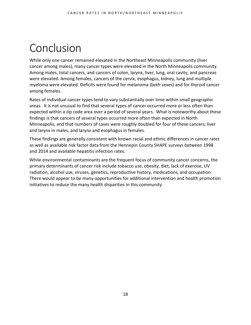## <span id="page-17-0"></span>Conclusion

While only one cancer remained elevated in the Northeast Minneapolis community (liver cancer among males), many cancer types were elevated in the North Minneapolis community. Among males, total cancers, and cancers of colon, larynx, liver, lung, oral cavity, and pancreas were elevated. Among females, cancers of the cervix, esophagus, kidney, lung and multiple myeloma were elevated. Deficits were found for melanoma (both sexes) and for thyroid cancer among females.

Rates of individual cancer types tend to vary substantially over time within small geographic areas. It is not unusual to find that several types of cancer occurred more or less often than expected within a zip code area over a period of several years. What is noteworthy about these findings is that cancers of several types occurred more often than expected in North Minneapolis, and that numbers of cases were roughly doubled for four of these cancers; liver and larynx in males, and larynx and esophagus in females.

These findings are generally consistent with known racial and ethnic differences in cancer rates as well as available risk factor data from the Hennepin County SHAPE surveys between 1998 and 2014 and available hepatitis infection rates.

While environmental contaminants are the frequent focus of community cancer concerns, the primary determinants of cancer risk include tobacco use, obesity, diet, lack of exercise, UV radiation, alcohol use, viruses, genetics, reproductive history, medications, and occupation. There would appear to be many opportunities for additional intervention and health promotion initiatives to reduce the many health disparities in this community.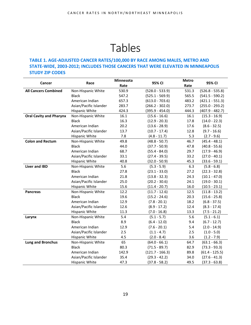## Tables

#### <span id="page-18-0"></span>**TABLE 1. AGE-ADJUSTED CANCER RATES/100,000 BY RACE AMONG MALES, METRO AND STATE-WIDE, 2003-2012; INCLUDES THOSE CANCERS THAT WERE ELEVATED IN MINNEAPOLIS STUDY ZIP CODES**

| Cancer                         | Race                   | Minnesota<br>Rate | 95% CI            | <b>Metro</b><br>Rate | 95% CI            |
|--------------------------------|------------------------|-------------------|-------------------|----------------------|-------------------|
| <b>All Cancers Combined</b>    | Non-Hispanic White     | 530.9             | $(528.0 - 533.9)$ | 531.3                | $(526.8 - 535.8)$ |
|                                | <b>Black</b>           | 547.2             | $(525.1 - 569.9)$ | 565.5                | $(541.5 - 590.2)$ |
|                                | American Indian        | 657.3             | $(613.0 - 703.6)$ | 483.2                | $(421.1 - 551.3)$ |
|                                | Asian/Pacific Islander | 283.7             | $(266.2 - 302.0)$ | 273.7                | $(255.0 - 293.2)$ |
|                                | Hispanic White         | 424.3             | $(395.9 - 454.0)$ | 444.3                | $(407.9 - 482.7)$ |
| <b>Oral Cavity and Pharynx</b> | Non-Hispanic White     | 16.1              | $(15.6 - 16.6)$   | 16.1                 | $(15.3 - 16.9)$   |
|                                | <b>Black</b>           | 16.3              | $(12.9 - 20.3)$   | 17.8                 | $(14.0 - 22.3)$   |
|                                | American Indian        | 20.2              | $(13.6 - 28.9)$   | 17.6                 | $(8.6 - 32.5)$    |
|                                | Asian/Pacific Islander | 13.7              | $(10.7 - 17.4)$   | 12.8                 | $(9.7 - 16.6)$    |
|                                | Hispanic White         | 7.8               | $(4.8 - 11.7)$    | 5.3                  | $(2.7 - 9.6)$     |
| <b>Colon and Rectum</b>        | Non-Hispanic White     | 49.8              | $(48.8 - 50.7)$   | 46.7                 | $(45.4 - 48.1)$   |
|                                | <b>Black</b>           | 44.0              | $(37.7 - 50.9)$   | 47.8                 | $(40.8 - 55.6)$   |
|                                | American Indian        | 68.7              | $(55.4 - 84.0)$   | 29.7                 | $(17.9 - 46.9)$   |
|                                | Asian/Pacific Islander | 33.1              | $(27.4 - 39.5)$   | 33.2                 | $(27.0 - 40.1)$   |
|                                | Hispanic White         | 40.8              | $(32.0 - 50.9)$   | 45.3                 | $(33.6 - 59.1)$   |
| <b>Liver and IBD</b>           | Non-Hispanic White     | 5.6               | $(5.3 - 5.9)$     | 6.3                  | $(5.8 - 6.8)$     |
|                                | <b>Black</b>           | 27.8              | $(23.1 - 33.0)$   | 27.2                 | $(22.3 - 32.8)$   |
|                                | American Indian        | 21.8              | $(13.8 - 32.3)$   | 24.3                 | $(10.1 - 47.0)$   |
|                                | Asian/Pacific Islander | 25.0              | $(20.2 - 30.6)$   | 24.1                 | $(19.0 - 30.1)$   |
|                                | Hispanic White         | 15.6              | $(11.4 - 20.7)$   | 16.0                 | $(10.5 - 23.1)$   |
| <b>Pancreas</b>                | Non-Hispanic White     | 12.2              | $(11.7 - 12.6)$   | 12.5                 | $(11.8 - 13.2)$   |
|                                | <b>Black</b>           | 19.6              | $(15.2 - 24.6)$   | 20.3                 | $(15.6 - 25.8)$   |
|                                | American Indian        | 12.9              | $(7.8 - 20.1)$    | 18.2                 | $(6.8 - 37.5)$    |
|                                | Asian/Pacific Islander | 12.6              | $(8.9 - 17.2)$    | 12.4                 | $(8.3 - 17.4)$    |
|                                | Hispanic White         | 11.3              | $(7.0 - 16.8)$    | 13.3                 | $(7.5 - 21.2)$    |
| Larynx                         | Non-Hispanic White     | 5.4               | $(5.1 - 5.7)$     | 5.6                  | $(5.1 - 6.1)$     |
|                                | <b>Black</b>           | 8.9               | $(6.4 - 12.0)$    | 9.4                  | $(6.7 - 12.7)$    |
|                                | American Indian        | 12.9              | $(7.6 - 20.1)$    | 5.4                  | $(2.0 - 14.9)$    |
|                                | Asian/Pacific Islander | 2.5               | $(1.1 - 4.7)$     | 2.5                  | $(1.0 - 5.0)$     |
|                                | Hispanic White         | 4.5               | $(2.0 - 8.4)$     | 3.6                  | $(1.2 - 7.9)$     |
| <b>Lung and Bronchus</b>       | Non-Hispanic White     | 65                | $(64.0 - 66.1)$   | 64.7                 | $(63.1 - 66.3)$   |
|                                | <b>Black</b>           | 80.3              | $(71.5 - 89.7)$   | 82.9                 | $(73.3 - 93.3)$   |
|                                | American Indian        | 142.9             | $(121.7 - 166.3)$ | 89.8                 | $(61.4 - 125.5)$  |
|                                | Asian/Pacific Islander | 35.4              | $(29.3 - 42.2)$   | 34.0                 | $(27.6 - 41.3)$   |
|                                | Hispanic White         | 47.3              | $(37.8 - 58.2)$   | 49.5                 | $(37.3 - 63.8)$   |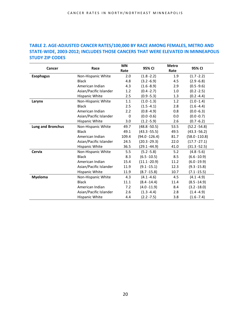#### **TABLE 2. AGE-ADJUSTED CANCER RATES/100,000 BY RACE AMONG FEMALES, METRO AND STATE-WIDE, 2003-2012; INCLUDES THOSE CANCERS THAT WERE ELEVATED IN MINNEAPOLIS STUDY ZIP CODES**

| Cancer                   | Race                   | <b>MN</b> | 95% CI           | <b>Metro</b> | 95% CI           |
|--------------------------|------------------------|-----------|------------------|--------------|------------------|
|                          |                        | Rate      |                  | Rate         |                  |
| <b>Esophagus</b>         | Non-Hispanic White     | 2.0       | $(1.8 - 2.2)$    | 1.9          | $(1.7 - 2.2)$    |
|                          | <b>Black</b>           | 4.8       | $(3.2 - 6.9)$    | 4.5          | $(2.9 - 6.8)$    |
|                          | American Indian        | 4.3       | $(1.6 - 8.9)$    | 2.9          | $(0.5 - 9.6)$    |
|                          | Asian/Pacific Islander | 1.2       | $(0.4 - 2.7)$    | 1.0          | $(0.2 - 2.5)$    |
|                          | Hispanic White         | 2.5       | $(0.9 - 5.3)$    | 1.3          | $(0.2 -4.4)$     |
| Larynx                   | Non-Hispanic White     | 1.1       | $(1.0 - 1.3)$    | 1.2          | $(1.0 - 1.4)$    |
|                          | <b>Black</b>           | 2.5       | $(1.5 - 4.1)$    | 2.8          | $(1.6 - 4.4)$    |
|                          | American Indian        | 2.2       | $(0.8 - 4.9)$    | 0.8          | $(0.0 - 6.3)$    |
|                          | Asian/Pacific Islander | 0         | $(0.0 - 0.6)$    | 0.0          | $(0.0 - 0.7)$    |
|                          | Hispanic White         | 3.0       | $(1.2 - 5.9)$    | 2.6          | $(0.7 - 6.2)$    |
| <b>Lung and Bronchus</b> | Non-Hispanic White     | 49.7      | $(48.8 - 50.5)$  | 53.5         | $(52.2 - 54.8)$  |
|                          | <b>Black</b>           | 49.1      | $(43.3 - 55.5)$  | 49.5         | $(43.3 - 56.2)$  |
|                          | American Indian        | 109.4     | $(94.0 - 126.4)$ | 81.7         | $(58.0 - 110.8)$ |
|                          | Asian/Pacific Islander | 24.5      | $(20.3 - 29.3)$  | 22.0         | $(17.7 - 27.1)$  |
|                          | Hispanic White         | 36.5      | (29.1 -44.9)     | 41.0         | $(31.3 - 52.5)$  |
| <b>Cervix</b>            | Non-Hispanic White     | 5.5       | $(5.2 - 5.8)$    | 5.2          | $(4.8 - 5.6)$    |
|                          | <b>Black</b>           | 8.3       | $(6.5 - 10.5)$   | 8.5          | $(6.6 - 10.9)$   |
|                          | American Indian        | 15.4      | $(11.1 - 20.9)$  | 11.2         | $(6.0 - 19.9)$   |
|                          | Asian/Pacific Islander | 11.9      | $(9.1 - 15.1)$   | 12.3         | $(9.3 - 15.8)$   |
|                          | Hispanic White         | 11.9      | $(8.7 - 15.8)$   | 10.7         | (7.1 -15.5)      |
| <b>Myeloma</b>           | Non-Hispanic White     | 4.3       | $(4.1 - 4.6)$    | 4.5          | $(4.1 - 4.9)$    |
|                          | <b>Black</b>           | 11.1      | $(8.4 - 14.4)$   | 11.4         | $(8.5 - 14.9)$   |
|                          | American Indian        | 7.2       | $(4.0 - 11.9)$   | 8.4          | $(3.2 - 18.0)$   |
|                          | Asian/Pacific Islander | 2.6       | $(1.3 - 4.4)$    | 2.8          | $(1.4 - 4.9)$    |
|                          | Hispanic White         | 4.4       | $(2.2 - 7.5)$    | 3.8          | $(1.6 - 7.4)$    |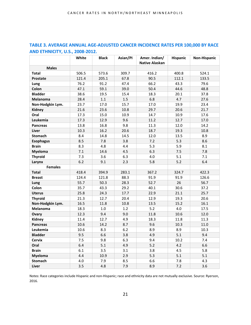|                  | White | <b>Black</b> | Asian/PI | Amer. Indian/<br><b>Native Alaskan</b> | <b>Hispanic</b> | Non-Hispanic |
|------------------|-------|--------------|----------|----------------------------------------|-----------------|--------------|
| <b>Males</b>     |       |              |          |                                        |                 |              |
| <b>Total</b>     | 506.5 | 573.6        | 309.7    | 416.2                                  | 400.8           | 524.1        |
| <b>Prostate</b>  | 121.4 | 205.1        | 67.8     | 90.5                                   | 112.1           | 133.5        |
| Lung             | 76.2  | 91.2         | 47.4     | 66.2                                   | 43.3            | 79.6         |
| Colon            | 47.1  | 59.1         | 39.0     | 50.4                                   | 44.6            | 48.8         |
| <b>Bladder</b>   | 38.6  | 19.5         | 15.4     | 18.3                                   | 20.1            | 37.8         |
| Melanoma         | 28.4  | $1.1\,$      | $1.5$    | 6.8                                    | 4.7             | 27.6         |
| Non-Hodgkin Lym. | 23.7  | 17.0         | 15.7     | 17.0                                   | 19.9            | 23.4         |
| Kidney           | 21.6  | 23.6         | 10.8     | 29.7                                   | 20.6            | 21.7         |
| Oral             | 17.3  | 15.0         | 10.9     | 14.7                                   | 10.9            | 17.6         |
| Leukemia         | 17.3  | 12.9         | 9.6      | 11.2                                   | 12.7            | 17.0         |
| <b>Pancreas</b>  | 13.8  | 16.8         | 9.8      | 11.3                                   | 12.0            | 14.2         |
| <b>Liver</b>     | 10.3  | 16.2         | 20.6     | 18.7                                   | 19.3            | 10.8         |
| <b>Stomach</b>   | 8.4   | 14.8         | 14.5     | 12.0                                   | 13.5            | 8.9          |
| <b>Esophagus</b> | 8.5   | 7.8          | 3.8      | 7.2                                    | 5.3             | 8.6          |
| <b>Brain</b>     | 8.3   | 4.8          | 4.4      | 5.3                                    | 5.9             | 8.1          |
| <b>Myeloma</b>   | 7.1   | 14.6         | 4.5      | 6.3                                    | 7.5             | 7.8          |
| <b>Thyroid</b>   | 7.3   | 3.6          | 6.3      | 4.0                                    | 5.1             | 7.1          |
| Larynx           | 6.2   | 9.1          | 2.3      | 5.8                                    | $5.2$           | 6.4          |
| <b>Females</b>   |       |              |          |                                        |                 |              |
| <b>Total</b>     | 418.4 | 394.9        | 283.1    | 367.2                                  | 324.7           | 422.3        |
| <b>Breast</b>    | 124.4 | 121.8        | 88.3     | 91.9                                   | 91.9            | 126.6        |
| Lung             | 55.7  | 50.3         | 28.3     | 52.7                                   | 26              | 56.7         |
| Colon            | 35.7  | 43.3         | 29.2     | 40.1                                   | 30.6            | 37.2         |
| <b>Uterus</b>    | 25.8  | 24.3         | 17.7     | 22.9                                   | 21.1            | 25.7         |
| <b>Thyroid</b>   | 21.3  | 12.7         | 20.4     | 12.9                                   | 19.3            | 20.6         |
| Non-Hodgkin Lym. | 16.5  | 11.8         | 10.8     | 13.5                                   | 15.2            | 16.1         |
| <b>Melanoma</b>  | 18.3  | 1.0          | 1.2      | 5.2                                    | 4.0             | 17.5         |
| Ovary            | 12.3  | 9.4          | 9.0      | 11.8                                   | 10.6            | 12.0         |
| Kidney           | 11.4  | 12.7         | 4.9      | 18.3                                   | 11.8            | 11.3         |
| <b>Pancreas</b>  | 10.6  | 14.2         | 8.7      | 9.6                                    | 10.3            | 11.0         |
| Leukemia         | 10.6  | 8.3          | 6.2      | 8.9                                    | 8.9             | 10.3         |
| <b>Bladder</b>   | 9.5   | 6.6          | 3.8      | 4.9                                    | 5.1             | 9.4          |
| <b>Cervix</b>    | 7.5   | 9.8          | 6.3      | 9.4                                    | 10.2            | 7.4          |
| Oral             | 6.4   | 5.1          | 4.9      | $5.2$                                  | 4.2             | 6.6          |
| <b>Brain</b>     | 6.1   | 3.5          | 3.1      | 3.8                                    | 4.5             | 5.8          |
| <b>Myeloma</b>   | 4.4   | 10.9         | 2.9      | 5.3                                    | 5.1             | 5.1          |
| <b>Stomach</b>   | 4.0   | 7.9          | 8.5      | 6.6                                    | 7.8             | 4.3          |
| Liver            | 3.5   | 4.8          | 7.9      | 8.9                                    | 7.2             | 3.6          |

**TABLE 3. AVERAGE ANNUAL AGE-ADJUSTED CANCER INCIDENCE RATES PER 100,000 BY RACE AND ETHNICITY, U.S., 2008-2012.**

Notes: Race categories include Hispanic and non-Hispanic; race and ethnicity data are not mutually exclusive. Source: Ryerson, 2016.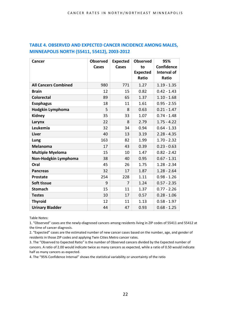| TABLE 4. OBSERVED AND EXPECTED CANCER INCIDENCE AMONG MALES, |
|--------------------------------------------------------------|
| MINNEAPOLIS NORTH (55411, 55412), 2003-2012                  |

| Cancer                      | <b>Observed</b> | <b>Expected</b> | <b>Observed</b> | 95%               |
|-----------------------------|-----------------|-----------------|-----------------|-------------------|
|                             | Cases           | <b>Cases</b>    | to              | <b>Confidence</b> |
|                             |                 |                 | <b>Expected</b> | Interval of       |
|                             |                 |                 | Ratio           | Ratio             |
| <b>All Cancers Combined</b> | 980             | 771             | 1.27            | $1.19 - 1.35$     |
| <b>Brain</b>                | 12              | 15              | 0.82            | $0.42 - 1.43$     |
| <b>Colorectal</b>           | 89              | 65              | 1.37            | $1.10 - 1.68$     |
| <b>Esophagus</b>            | 18              | 11              | 1.61            | $0.95 - 2.55$     |
| Hodgkin Lymphoma            | 5               | 8               | 0.63            | $0.21 - 1.47$     |
| <b>Kidney</b>               | 35              | 33              | 1.07            | $0.74 - 1.48$     |
| Larynx                      | 22              | 8               | 2.79            | $1.75 - 4.22$     |
| Leukemia                    | 32              | 34              | 0.94            | $0.64 - 1.33$     |
| Liver                       | 40              | 13              | 3.19            | $2.28 - 4.35$     |
| Lung                        | 163             | 82              | 1.99            | $1.70 - 2.32$     |
| Melanoma                    | 17              | 43              | 0.39            | $0.23 - 0.63$     |
| <b>Multiple Myeloma</b>     | 15              | 10              | 1.47            | $0.82 - 2.42$     |
| Non-Hodgkin Lymphoma        | 38              | 40              | 0.95            | $0.67 - 1.31$     |
| Oral                        | 45              | 26              | 1.75            | $1.28 - 2.34$     |
| <b>Pancreas</b>             | 32              | 17              | 1.87            | $1.28 - 2.64$     |
| <b>Prostate</b>             | 254             | 228             | 1.11            | $0.98 - 1.26$     |
| Soft tissue                 | 9               | $\overline{7}$  | 1.24            | $0.57 - 2.35$     |
| <b>Stomach</b>              | 15              | 11              | 1.37            | $0.77 - 2.26$     |
| <b>Testes</b>               | 10              | 17              | 0.57            | $0.28 - 1.06$     |
| <b>Thyroid</b>              | 12              | 11              | 1.13            | $0.58 - 1.97$     |
| <b>Urinary Bladder</b>      | 44              | 47              | 0.93            | $0.68 - 1.25$     |

Table Notes:

1. "Observed" cases are the newly-diagnosed cancers among residents living in ZIP codes of 55411 and 55412 at the time of cancer diagnosis.

2. "Expected" cases are the estimated number of new cancer cases based on the number, age, and gender of residents in those ZIP codes and applying Twin Cities Metro cancer rates.

3. The "Observed to Expected Ratio" is the number of Observed cancers divided by the Expected number of cancers. A ratio of 2.00 would indicate twice as many cancers as expected, while a ratio of 0.50 would indicate half as many cancers as expected.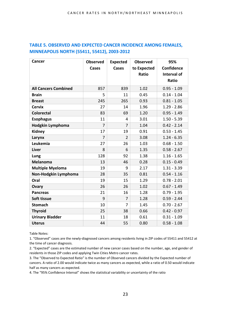| TABLE 5. OBSERVED AND EXPECTED CANCER INCIDENCE AMONG FEMALES, |
|----------------------------------------------------------------|
| MINNEAPOLIS NORTH (55411, 55412), 2003-2012                    |

| Cancer                      | <b>Observed</b> | <b>Expected</b> | <b>Observed</b> | 95%           |
|-----------------------------|-----------------|-----------------|-----------------|---------------|
|                             | Cases           | Cases           | to Expected     | Confidence    |
|                             |                 |                 | <b>Ratio</b>    | Interval of   |
|                             |                 |                 |                 | Ratio         |
| <b>All Cancers Combined</b> | 857             | 839             | 1.02            | $0.95 - 1.09$ |
| <b>Brain</b>                | 5               | 11              | 0.45            | $0.14 - 1.04$ |
| <b>Breast</b>               | 245             | 265             | 0.93            | $0.81 - 1.05$ |
| <b>Cervix</b>               | 27              | 14              | 1.96            | $1.29 - 2.86$ |
| <b>Colorectal</b>           | 83              | 69              | 1.20            | $0.95 - 1.49$ |
| <b>Esophagus</b>            | 11              | 4               | 3.01            | $1.50 - 5.39$ |
| Hodgkin Lymphoma            | $\overline{7}$  | $\overline{7}$  | 1.04            | $0.42 - 2.14$ |
| Kidney                      | 17              | 19              | 0.91            | $0.53 - 1.45$ |
| Larynx                      | 7               | 2               | 3.08            | $1.24 - 6.35$ |
| Leukemia                    | 27              | 26              | 1.03            | $0.68 - 1.50$ |
| <b>Liver</b>                | 8               | 6               | 1.35            | $0.58 - 2.67$ |
| Lung                        | 128             | 92              | 1.38            | $1.16 - 1.65$ |
| <b>Melanoma</b>             | 13              | 46              | 0.28            | $0.15 - 0.49$ |
| <b>Multiple Myeloma</b>     | 19              | 9               | 2.17            | $1.31 - 3.39$ |
| Non-Hodgkin Lymphoma        | 28              | 35              | 0.81            | $0.54 - 1.16$ |
| Oral                        | 19              | 15              | 1.29            | $0.78 - 2.01$ |
| Ovary                       | 26              | 26              | 1.02            | $0.67 - 1.49$ |
| <b>Pancreas</b>             | 21              | 16              | 1.28            | $0.79 - 1.95$ |
| Soft tissue                 | 9               | $\overline{7}$  | 1.28            | $0.59 - 2.44$ |
| <b>Stomach</b>              | 10              | 7               | 1.45            | $0.70 - 2.67$ |
| <b>Thyroid</b>              | 25              | 38              | 0.66            | $0.42 - 0.97$ |
| <b>Urinary Bladder</b>      | 11              | 18              | 0.61            | $0.31 - 1.09$ |
| <b>Uterus</b>               | 44              | 55              | 0.80            | $0.58 - 1.08$ |

Table Notes:

1. "Observed" cases are the newly-diagnosed cancers among residents living in ZIP codes of 55411 and 55412 at the time of cancer diagnosis.

2. "Expected" cases are the estimated number of new cancer cases based on the number, age, and gender of residents in those ZIP codes and applying Twin Cities Metro cancer rates.

3. The "Observed to Expected Ratio" is the number of Observed cancers divided by the Expected number of cancers. A ratio of 2.00 would indicate twice as many cancers as expected, while a ratio of 0.50 would indicate half as many cancers as expected.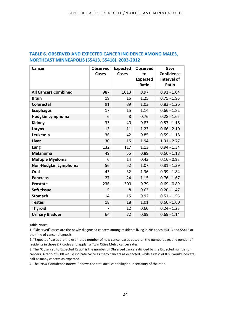| <b>Cancer</b>               | <b>Observed</b> | <b>Expected</b> | <b>Observed</b> | 95%               |
|-----------------------------|-----------------|-----------------|-----------------|-------------------|
|                             | Cases           | Cases           | to              | <b>Confidence</b> |
|                             |                 |                 | <b>Expected</b> | Interval of       |
|                             |                 |                 | Ratio           | Ratio             |
| <b>All Cancers Combined</b> | 987             | 1013            | 0.97            | $0.91 - 1.04$     |
| <b>Brain</b>                | 19              | 15              | 1.25            | $0.75 - 1.95$     |
| <b>Colorectal</b>           | 91              | 89              | 1.03            | $0.83 - 1.26$     |
| <b>Esophagus</b>            | 17              | 15              | 1.14            | $0.66 - 1.82$     |
| Hodgkin Lymphoma            | 6               | 8               | 0.76            | $0.28 - 1.65$     |
| <b>Kidney</b>               | 33              | 40              | 0.83            | $0.57 - 1.16$     |
| Larynx                      | 13              | 11              | 1.23            | $0.66 - 2.10$     |
| Leukemia                    | 36              | 42              | 0.85            | $0.59 - 1.18$     |
| Liver                       | 30              | 15              | 1.94            | $1.31 - 2.77$     |
| Lung                        | 132             | 117             | 1.13            | $0.94 - 1.34$     |
| <b>Melanoma</b>             | 49              | 55              | 0.89            | $0.66 - 1.18$     |
| <b>Multiple Myeloma</b>     | 6               | 14              | 0.43            | $0.16 - 0.93$     |
| Non-Hodgkin Lymphoma        | 56              | 52              | 1.07            | $0.81 - 1.39$     |
| Oral                        | 43              | 32              | 1.36            | $0.99 - 1.84$     |
| <b>Pancreas</b>             | 27              | 24              | 1.15            | $0.76 - 1.67$     |
| <b>Prostate</b>             | 236             | 300             | 0.79            | $0.69 - 0.89$     |
| Soft tissue                 | 5               | 8               | 0.63            | $0.20 - 1.47$     |
| <b>Stomach</b>              | 14              | 15              | 0.92            | $0.51 - 1.55$     |
| <b>Testes</b>               | 18              | 18              | 1.01            | $0.60 - 1.60$     |
| <b>Thyroid</b>              | 7               | 12              | 0.60            | $0.24 - 1.23$     |
| <b>Urinary Bladder</b>      | 64              | 72              | 0.89            | $0.69 - 1.14$     |

#### **TABLE 6. OBSERVED AND EXPECTED CANCER INCIDENCE AMONG MALES, NORTHEAST MINNEAPOLIS (55413, 55418), 2003-2012**

Table Notes:

1. "Observed" cases are the newly-diagnosed cancers among residents living in ZIP codes 55413 and 55418 at the time of cancer diagnosis.

2. "Expected" cases are the estimated number of new cancer cases based on the number, age, and gender of residents in those ZIP codes and applying Twin Cities Metro cancer rates.

3. The "Observed to Expected Ratio" is the number of Observed cancers divided by the Expected number of cancers. A ratio of 2.00 would indicate twice as many cancers as expected, while a ratio of 0.50 would indicate half as many cancers as expected.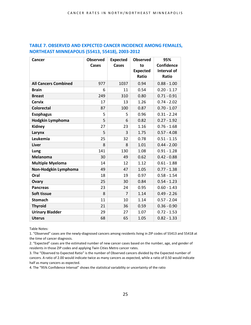| Cancer                      | <b>Observed</b> | <b>Expected</b> | <b>Observed</b>          | 95%                         |
|-----------------------------|-----------------|-----------------|--------------------------|-----------------------------|
|                             | Cases           | Cases           | to                       | <b>Confidence</b>           |
|                             |                 |                 | <b>Expected</b><br>Ratio | <b>Interval of</b><br>Ratio |
|                             |                 |                 |                          |                             |
| <b>All Cancers Combined</b> | 977             | 1037            | 0.94                     | $0.88 - 1.00$               |
| <b>Brain</b>                | 6               | 11              | 0.54                     | $0.20 - 1.17$               |
| <b>Breast</b>               | 249             | 310             | 0.80                     | $0.71 - 0.91$               |
| <b>Cervix</b>               | 17              | 13              | 1.26                     | $0.74 - 2.02$               |
| <b>Colorectal</b>           | 87              | 100             | 0.87                     | $0.70 - 1.07$               |
| <b>Esophagus</b>            | 5               | 5               | 0.96                     | $0.31 - 2.24$               |
| Hodgkin Lymphoma            | 5               | 6               | 0.82                     | $0.27 - 1.92$               |
| Kidney                      | 27              | 23              | 1.16                     | $0.76 - 1.68$               |
| Larynx                      | 5               | 3               | 1.75                     | $0.57 - 4.08$               |
| Leukemia                    | 25              | 32              | 0.78                     | $0.51 - 1.15$               |
| Liver                       | 8               | 8               | 1.01                     | $0.44 - 2.00$               |
| Lung                        | 141             | 130             | 1.08                     | $0.91 - 1.28$               |
| Melanoma                    | 30              | 49              | 0.62                     | $0.42 - 0.88$               |
| <b>Multiple Myeloma</b>     | 14              | 12              | 1.12                     | $0.61 - 1.88$               |
| Non-Hodgkin Lymphoma        | 49              | 47              | 1.05                     | $0.77 - 1.38$               |
| Oral                        | 18              | 19              | 0.97                     | $0.58 - 1.54$               |
| Ovary                       | 25              | 30              | 0.84                     | $0.54 - 1.23$               |
| <b>Pancreas</b>             | 23              | 24              | 0.95                     | $0.60 - 1.43$               |
| Soft tissue                 | 8               | 7               | 1.14                     | $0.49 - 2.26$               |
| <b>Stomach</b>              | 11              | 10              | 1.14                     | $0.57 - 2.04$               |
| <b>Thyroid</b>              | 21              | 36              | 0.59                     | $0.36 - 0.90$               |
| <b>Urinary Bladder</b>      | 29              | 27              | 1.07                     | $0.72 - 1.53$               |
| <b>Uterus</b>               | 68              | 65              | 1.05                     | $0.82 - 1.33$               |

#### **TABLE 7. OBSERVED AND EXPECTED CANCER INCIDENCE AMONG FEMALES, NORTHEAST MINNEAPOLIS (55413, 55418), 2003-2012**

Table Notes:

1. "Observed" cases are the newly-diagnosed cancers among residents living in ZIP codes of 55413 and 55418 at the time of cancer diagnosis.

2. "Expected" cases are the estimated number of new cancer cases based on the number, age, and gender of residents in those ZIP codes and applying Twin Cities Metro cancer rates.

3. The "Observed to Expected Ratio" is the number of Observed cancers divided by the Expected number of cancers. A ratio of 2.00 would indicate twice as many cancers as expected, while a ratio of 0.50 would indicate half as many cancers as expected.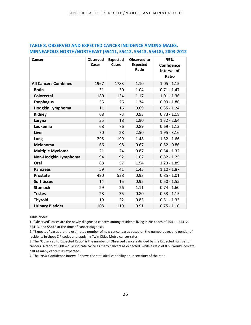| Cancer                      | <b>Observed</b> | <b>Expected</b> | <b>Observed to</b> | 95%           |
|-----------------------------|-----------------|-----------------|--------------------|---------------|
|                             | Cases           | Cases           | <b>Expected</b>    | Confidence    |
|                             |                 |                 | Ratio              | Interval of   |
|                             |                 |                 |                    | Ratio         |
| <b>All Cancers Combined</b> | 1967            | 1783            | 1.10               | $1.05 - 1.15$ |
| <b>Brain</b>                | 31              | 30              | 1.04               | $0.71 - 1.47$ |
| <b>Colorectal</b>           | 180             | 154             | 1.17               | $1.01 - 1.36$ |
| <b>Esophagus</b>            | 35              | 26              | 1.34               | $0.93 - 1.86$ |
| Hodgkin Lymphoma            | 11              | 16              | 0.69               | $0.35 - 1.24$ |
| <b>Kidney</b>               | 68              | 73              | 0.93               | $0.73 - 1.18$ |
| Larynx                      | 35              | 18              | 1.90               | $1.32 - 2.64$ |
| Leukemia                    | 68              | 76              | 0.89               | $0.69 - 1.13$ |
| Liver                       | 70              | 28              | 2.50               | $1.95 - 3.16$ |
| Lung                        | 295             | 199             | 1.48               | $1.32 - 1.66$ |
| <b>Melanoma</b>             | 66              | 98              | 0.67               | $0.52 - 0.86$ |
| <b>Multiple Myeloma</b>     | 21              | 24              | 0.87               | $0.54 - 1.32$ |
| Non-Hodgkin Lymphoma        | 94              | 92              | 1.02               | $0.82 - 1.25$ |
| Oral                        | 88              | 57              | 1.54               | $1.23 - 1.89$ |
| <b>Pancreas</b>             | 59              | 41              | 1.45               | $1.10 - 1.87$ |
| <b>Prostate</b>             | 490             | 528             | 0.93               | $0.85 - 1.01$ |
| Soft tissue                 | 14              | 15              | 0.92               | $0.50 - 1.55$ |
| <b>Stomach</b>              | 29              | 26              | 1.11               | $0.74 - 1.60$ |
| <b>Testes</b>               | 28              | 35              | 0.80               | $0.53 - 1.15$ |
| <b>Thyroid</b>              | 19              | 22              | 0.85               | $0.51 - 1.33$ |
| <b>Urinary Bladder</b>      | 108             | 119             | 0.91               | $0.75 - 1.10$ |

#### **TABLE 8. OBSERVED AND EXPECTED CANCER INCIDENCE AMONG MALES, MINNEAPOLIS NORTH/NORTHEAST (55411, 55412, 55413, 55418), 2003-2012**

Table Notes:

1. "Observed" cases are the newly-diagnosed cancers among residents living in ZIP codes of 55411, 55412, 55413, and 55418 at the time of cancer diagnosis.

2. "Expected" cases are the estimated number of new cancer cases based on the number, age, and gender of residents in those ZIP codes and applying Twin Cities Metro cancer rates.

3. The "Observed to Expected Ratio" is the number of Observed cancers divided by the Expected number of cancers. A ratio of 2.00 would indicate twice as many cancers as expected, while a ratio of 0.50 would indicate half as many cancers as expected.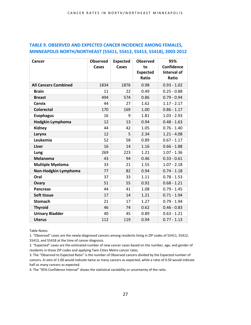| Cancer                      | <b>Observed</b> | <b>Expected</b> | <b>Observed</b> | 95%                |
|-----------------------------|-----------------|-----------------|-----------------|--------------------|
|                             | Cases           | Cases           | to              | Confidence         |
|                             |                 |                 | <b>Expected</b> | <b>Interval of</b> |
|                             |                 |                 | <b>Ratio</b>    | Ratio              |
| <b>All Cancers Combined</b> | 1834            | 1876            | 0.98            | $0.93 - 1.02$      |
| <b>Brain</b>                | 11              | 22              | 0.49            | $0.25 - 0.88$      |
| <b>Breast</b>               | 494             | 574             | 0.86            | $0.79 - 0.94$      |
| <b>Cervix</b>               | 44              | 27              | 1.62            | $1.17 - 2.17$      |
| <b>Colorectal</b>           | 170             | 169             | 1.00            | $0.86 - 1.17$      |
| <b>Esophagus</b>            | 16              | 9               | 1.81            | $1.03 - 2.93$      |
| <b>Hodgkin Lymphoma</b>     | 12              | 13              | 0.94            | $0.48 - 1.63$      |
| Kidney                      | 44              | 42              | 1.05            | $0.76 - 1.40$      |
| Larynx                      | 12              | 5               | 2.34            | $1.21 - 4.08$      |
| Leukemia                    | 52              | 58              | 0.89            | $0.67 - 1.17$      |
| Liver                       | 16              | 14              | 1.16            | $0.66 - 1.88$      |
| Lung                        | 269             | 223             | 1.21            | $1.07 - 1.36$      |
| <b>Melanoma</b>             | 43              | 94              | 0.46            | $0.33 - 0.61$      |
| <b>Multiple Myeloma</b>     | 33              | 21              | 1.55            | $1.07 - 2.18$      |
| Non-Hodgkin Lymphoma        | 77              | 82              | 0.94            | $0.74 - 1.18$      |
| Oral                        | 37              | 33              | 1.11            | $0.78 - 1.53$      |
| Ovary                       | 51              | 55              | 0.92            | $0.68 - 1.21$      |
| <b>Pancreas</b>             | 44              | 41              | 1.08            | $0.79 - 1.45$      |
| Soft tissue                 | 17              | 14              | 1.21            | $0.71 - 1.94$      |
| <b>Stomach</b>              | 21              | 17              | 1.27            | $0.79 - 1.94$      |
| <b>Thyroid</b>              | 46              | 74              | 0.62            | $0.46 - 0.83$      |
| <b>Urinary Bladder</b>      | 40              | 45              | 0.89            | $0.63 - 1.21$      |
| <b>Uterus</b>               | 112             | 119             | 0.94            | $0.77 - 1.13$      |

#### **TABLE 9. OBSERVED AND EXPECTED CANCER INCIDENCE AMONG FEMALES, MINNEAPOLIS NORTH/NORTHEAST (55411, 55412, 55413, 55418), 2003-2012**

Table Notes:

1. "Observed" cases are the newly-diagnosed cancers among residents living in ZIP codes of 55411, 55412, 55413, and 55418 at the time of cancer diagnosis.

2. "Expected" cases are the estimated number of new cancer cases based on the number, age, and gender of residents in those ZIP codes and applying Twin Cities Metro cancer rates.

3. The "Observed to Expected Ratio" is the number of Observed cancers divided by the Expected number of cancers. A ratio of 2.00 would indicate twice as many cancers as expected, while a ratio of 0.50 would indicate half as many cancers as expected.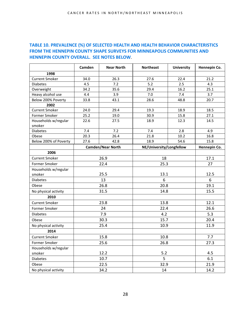#### **TABLE 10. PREVALENCE (%) OF SELECTED HEALTH AND HEALTH BEHAVIOR CHARACTERISTICS FROM THE HENNEPIN COUNTY SHAPE SURVEYS FOR MINNEAPOLIS COMMUNITIES AND HENNEPIN COUNTY OVERALL. SEE NOTES BELOW**.

|                                | Camden                   | <b>Near North</b> | <b>Northeast</b>         | <b>University</b> | Hennepin Co. |
|--------------------------------|--------------------------|-------------------|--------------------------|-------------------|--------------|
| 1998                           |                          |                   |                          |                   |              |
| <b>Current Smoker</b>          | 34.0                     | 26.3              | 27.6                     | 22.4              | 21.2         |
| <b>Diabetes</b>                | 4.5                      | 7.2               | 5.2                      | 2.5               | 4.3          |
| Overweight                     | 34.2                     | 35.6              | 29.4                     | 16.2              | 25.1         |
| Heavy alcohol use              | 4.4                      | 3.9               | 7.0                      | 7.4               | 3.7          |
| Below 200% Poverty             | 33.8                     | 43.1              | 28.6                     | 48.8              | 20.7         |
| 2002                           |                          |                   |                          |                   |              |
| <b>Current Smoker</b>          | 24.0                     | 29.4              | 19.3                     | 18.9              | 18.5         |
| Former Smoker                  | 25.2                     | 19.0              | 30.9                     | 15.8              | 27.1         |
| Households w/regular<br>smoker | 22.6                     | 27.5              | 18.9                     | 12.3              | 14.5         |
| <b>Diabetes</b>                | 7.4                      | 7.2               | 7.4                      | 2.8               | 4.9          |
| Obese                          | 20.3                     | 26.4              | 21.8                     | 10.2              | 16.8         |
| Below 200% of Poverty          | 27.6                     | 42.8              | 18.9                     | 54.6              | 15.8         |
|                                | <b>Camden/Near North</b> |                   | NE/University/Longfellow |                   | Hennepin Co. |
| 2006                           |                          |                   |                          |                   |              |
| <b>Current Smoker</b>          | 26.9                     |                   | 18                       |                   | 17.1         |
| Former Smoker                  | 22.4                     |                   | 25.3                     |                   | 27           |
| Households w/regular           |                          |                   |                          |                   |              |
| smoker                         | 25.5                     |                   | 13.1                     |                   | 12.5         |
| <b>Diabetes</b>                | 13                       |                   | 6                        |                   | 6            |
| Obese                          | 26.8                     |                   | 20.8                     |                   | 19.1         |
| No physical activity           | 31.5                     |                   | 14.8                     |                   | 15.5         |
| 2010                           |                          |                   |                          |                   |              |
| <b>Current Smoker</b>          | 23.8                     |                   | 13.8                     |                   | 12.1         |
| Former Smoker                  | 24                       |                   | 22.4                     |                   | 26.6         |
| <b>Diabetes</b>                | 7.9                      |                   | 4.2                      |                   | 5.3          |
| Obese                          | 30.3                     |                   | 15.7                     |                   | 20.4         |
| No physical activity           | 25.4                     |                   | 10.9                     |                   | 11.9         |
| 2014                           |                          |                   |                          |                   |              |
| <b>Current Smoker</b>          | 15.8                     |                   | 10.8                     |                   | 7.7          |
| Former Smoker                  | 25.6                     |                   | 26.8                     |                   | 27.3         |
| Households w/regular           |                          |                   |                          |                   |              |
| smoker                         | 12.2                     |                   | 5.2                      |                   | 4.5          |
| <b>Diabetes</b>                | 10.7                     |                   | 5                        |                   | 6.1          |
| Obese                          | 22.5                     |                   | 32.9                     |                   | 21.9         |
| No physical activity           | 34.2                     |                   | 14                       |                   | 14.2         |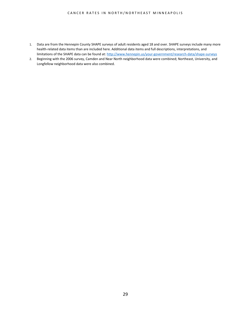#### CANCER RATES IN NORTH/NORTHEAST MINNEAPOLIS

- 1. Data are from the Hennepin County SHAPE surveys of adult residents aged 18 and over. SHAPE surveys include many more health-related data items than are included here. Additional data items and full descriptions, interpretations, and limitations of the SHAPE data can be found at[: http://www.hennepin.us/your-government/research-data/shape-surveys](http://www.hennepin.us/your-government/research-data/shape-surveys)
- 2. Beginning with the 2006 survey, Camden and Near North neighborhood data were combined; Northeast, University, and Longfellow neighborhood data were also combined.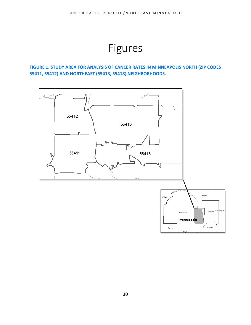## Figures

<span id="page-29-0"></span>**FIGURE 1. STUDY AREA FOR ANALYSIS OF CANCER RATES IN MINNEAPOLIS NORTH (ZIP CODES 55411, 55412) AND NORTHEAST (55413, 55418) NEIGHBORHOODS.** 

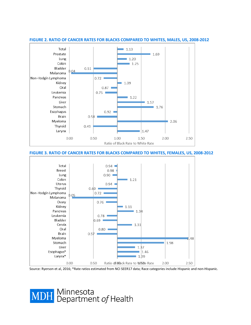

#### **FIGURE 2. RATIO OF CANCER RATES FOR BLACKS COMPARED TO WHITES, MALES, US, 2008-2012**

**FIGURE 3. RATIO OF CANCER RATES FOR BLACKS COMPARED TO WHITES, FEMALES, US, 2008-2012**



Source: Ryerson et al, 2016; \*Rate ratios estimated from NCI SEER17 data; Race categories include Hispanic and non-Hispanic.

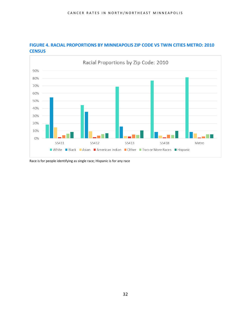



Race is for people identifying as single race; Hispanic is for any race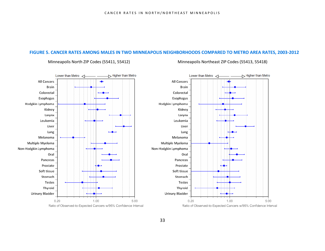#### **FIGURE 5. CANCER RATES AMONG MALES IN TWO MINNEAPOLIS NEIGHBORHOODS COMPARED TO METRO AREA RATES, 2003-2012**



Minneapolis North ZIP Codes (55411, 55412) Minneapolis Northeast ZIP Codes (55413, 55418)

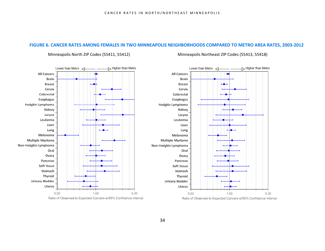#### **FIGURE 6. CANCER RATES AMONG FEMALES IN TWO MINNEAPOLIS NEIGHBORHOODS COMPARED TO METRO AREA RATES, 2003-2012**



#### Minneapolis North ZIP Codes (55411, 55412) Minneapolis Northeast ZIP Codes (55413, 55418)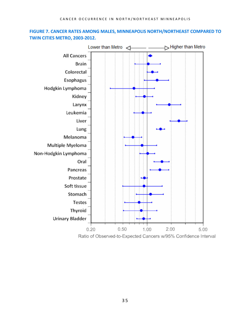#### **FIGURE 7. CANCER RATES AMONG MALES, MINNEAPOLIS NORTH/NORTHEAST COMPARED TO TWIN CITIES METRO, 2003-2012.**

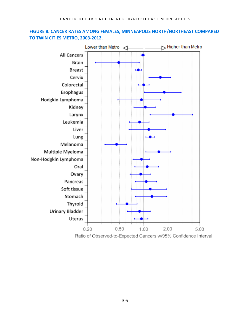### **FIGURE 8. CANCER RATES AMONG FEMALES, MINNEAPOLIS NORTH/NORTHEAST COMPARED TO TWIN CITIES METRO, 2003-2012.**

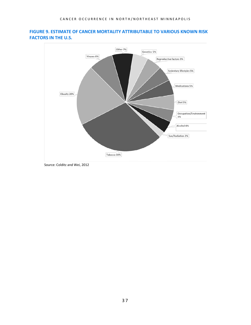

#### **FIGURE 9. ESTIMATE OF CANCER MORTALITY ATTRIBUTABLE TO VARIOUS KNOWN RISK FACTORS IN THE U.S.**

Source: Colditz and Wei, 2012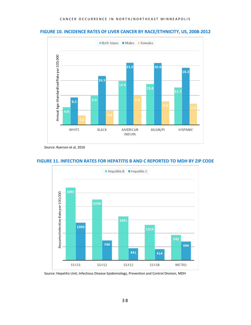#### **FIGURE 10. INCIDENCE RATES OF LIVER CANCER BY RACE/ETHNICITY, US, 2008-2012**



Source: Ryerson et al, 2016



#### **FIGURE 11. INFECTION RATES FOR HEPATITIS B AND C REPORTED TO MDH BY ZIP CODE**

Source: Hepatitis Unit, Infectious Disease Epidemiology, Prevention and Control Division, MDH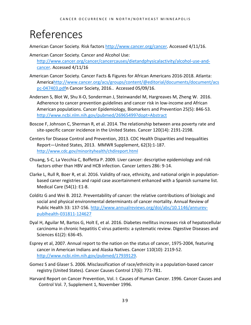## <span id="page-38-0"></span>References

American Cancer Society. Risk factors [http://www.cancer.org/cancer.](http://www.cancer.org/cancer) Accessed 4/11/16.

- American Cancer Society. Cancer and Alcohol Use: [http://www.cancer.org/cancer/cancercauses/dietandphysicalactivity/alcohol-use-and](http://www.cancer.org/cancer/cancercauses/dietandphysicalactivity/alcohol-use-and-cancer)[cancer.](http://www.cancer.org/cancer/cancercauses/dietandphysicalactivity/alcohol-use-and-cancer) Accessed 4/11/16
- American Cancer Society. Cancer Facts & Figures for African Americans 2016-2018. Atlanta: Americ[ahttp://www.cancer.org/acs/groups/content/@editorial/documents/document/acs](http://www.cancer.org/acs/groups/content/@editorial/documents/document/acspc-047403.pdf) [pc-047403.pdfn](http://www.cancer.org/acs/groups/content/@editorial/documents/document/acspc-047403.pdf) Cancer Society, 2016.. Accessed 05/09/16.
- Andersen S, Blot W, Shu X-O, Sonderman J, Steinwandel M, Hargreaves M, Zheng W. 2016. Adherence to cancer prevention guidelines and cancer risk in low-income and African American populations. Cancer Epidemiology, Biomarkers and Prevention 25(5): 846-53. <http://www.ncbi.nlm.nih.gov/pubmed/26965499?dopt=Abstract>
- Boscoe F, Johnson C, Sherman R, et al. 2014. The relationship between area poverty rate and site-specific cancer incidence in the United States. Cancer 120(14): 2191-2198.
- Centers for Disease Control and Prevention, 2013. CDC Health Disparities and Inequalities Report—United States, 2013. MMWR Supplement, 62(3):1-187. <http://www.cdc.gov/minorityhealth/chdireport.html>
- Chuang, S-C, La Vecchia C, Boffetta P. 2009. Liver cancer: descriptive epidemiology and risk factors other than HBV and HCB infection. Cancer Letters 286: 9-14.
- Clarke L, Rull R, Boer R, et al. 2016. Validity of race, ethnicity, and national origin in populationbased caner registries and rapid case ascertainment enhanced with a Spanish surname list. Medical Care (54(1): E1-8.
- Colditz G and Wei B. 2012. Preventability of cancer: the relative contributions of biologic and social and physical environmental determinants of cancer mortality. Annual Review of Public Health 33: 137-156. [http://www.annualreviews.org/doi/abs/10.1146/annurev](http://www.annualreviews.org/doi/abs/10.1146/annurev-publhealth-031811-124627)[publhealth-031811-124627](http://www.annualreviews.org/doi/abs/10.1146/annurev-publhealth-031811-124627)
- Dyal H, Aguilar M, Bartos G, Holt E, et al. 2016. Diabetes mellitus increases risk of hepatocellular carcinoma in chronic hepatitis C virus patients: a systematic review. Digestive Diseases and Sciences 61(2): 636-45.
- Esprey et al, 2007. Annual report to the nation on the status of cancer, 1975-2004, featuring cancer in American Indians and Alaska Natives. Cancer 110(10): 2119-52. [http://www.ncbi.nlm.nih.gov/pubmed/17939129.](http://www.ncbi.nlm.nih.gov/pubmed/17939129)
- Gomez S and Glaser S. 2006. Misclassification of race/ethnicity in a population-based cancer registry (United States). Cancer Causes Control 17(6): 771-781.
- Harvard Report on Cancer Prevention, Vol. I: Causes of Human Cancer. 1996. Cancer Causes and Control Vol. 7, Supplement 1, November 1996.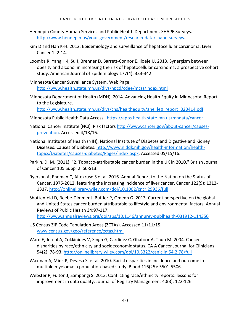- Hennepin County Human Services and Public Health Department. SHAPE Surveys. [http://www.hennepin.us/your-government/research-data/shape-surveys.](http://www.hennepin.us/your-government/research-data/shape-surveys)
- Kim D and Han K-H. 2012. Epidemiology and surveillance of hepatocellular carcinoma. Liver Cancer 1: 2-14.
- Loomba R, Yang H-I, Su J, Brenner D, Barrett-Connor E, Iloeje U. 2013. Synergism between obesity and alcohol in increasing the risk of hepatocellular carcinoma: a prospective cohort study. American Journal of Epidemiology 177(4): 333-342.
- Minnesota Cancer Surveillance System. Web Page: <http://www.health.state.mn.us/divs/hpcd/cdee/mcss/index.html>
- Minnesota Department of Health (MDH). 2014. Advancing Health Equity in Minnesota: Report to the Legislature.

[http://www.health.state.mn.us/divs/chs/healthequity/ahe\\_leg\\_report\\_020414.pdf.](http://www.health.state.mn.us/divs/chs/healthequity/ahe_leg_report_020414.pdf)

- Minnesota Public Health Data Access. <https://apps.health.state.mn.us/mndata/cancer>
- National Cancer Institute (NCI). Risk factors [http://www.cancer.gov/about-cancer/causes](http://www.cancer.gov/about-cancer/causes-prevention)[prevention.](http://www.cancer.gov/about-cancer/causes-prevention) Accessed 4/18/16.
- National Institutes of Health (NIH), National Institute of Diabetes and Digestive and Kidney Diseases. Causes of Diabetes. [http://www.niddk.nih.gov/health-information/health](http://www.niddk.nih.gov/health-information/health-topics/Diabetes/causes-diabetes/Pages/index.aspx)[topics/Diabetes/causes-diabetes/Pages/index.aspx.](http://www.niddk.nih.gov/health-information/health-topics/Diabetes/causes-diabetes/Pages/index.aspx) Accessed 05/15/16.
- Parkin, D. M. (2011). "2. Tobacco-attributable cancer burden in the UK in 2010." British Journal of Cancer 105 Suppl 2: S6-S13.
- Ryerson A, Eheman C, Altekruse S et al, 2016. Annual Report to the Nation on the Status of Cancer, 1975-2012, featuring the increasing incidence of liver cancer. Cancer 122(9): 1312- 1337. <http://onlinelibrary.wiley.com/doi/10.1002/cncr.29936/full>
- Shottenfeld D, Beebe-Dimmer J, Buffler P, Omenn G. 2013. Current perspective on the global and United States cancer burden attributable to lifestyle and environmental factors. Annual Reviews of Public Health 34:97-117. <http://www.annualreviews.org/doi/abs/10.1146/annurev-publhealth-031912-114350>
- US Census ZIP Code Tabulation Areas (ZCTAs). Accessed 11/11/15. [www.census.gov/geo/reference/zctas.html](http://www.census.gov/geo/reference/zctas.html)
- Ward E, Jernal A, Cokkinides V, Singh G, Cardinez C, Ghafoor A, Thun M. 2004. Cancer disparities by race/ethnicity and socioeconomic status. CA A Cancer Journal for Clinicians 54(2): 78-93.<http://onlinelibrary.wiley.com/doi/10.3322/canjclin.54.2.78/full>
- Waxman A, Mink P, Devesa S, et al. 2010. Racial disparities in incidence and outcome in multiple myeloma: a population-based study. Blood 116(25): 5501-5506.
- Webster P, Fulton J, Sampangi S. 2013. Conflicting race/ethnicity reports: lessons for improvement in data quality. Journal of Registry Management 40(3): 122-126.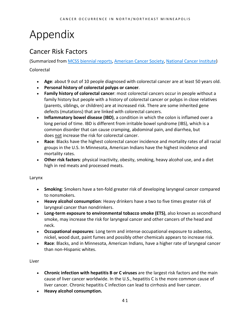# <span id="page-40-0"></span>Appendix

## <span id="page-40-1"></span>Cancer Risk Factors

(Summarized from [MCSS biennial reports,](http://www.health.state.mn.us/divs/hpcd/cdee/mcss/documents/cancerinmndec2012.pdf) [American Cancer Society,](http://www.cancer.org/cancer/index) [National Cancer Institute\)](http://www.cancer.gov/about-cancer/causes-prevention) Colorectal

- **Age**: about 9 out of 10 people diagnosed with colorectal cancer are at least 50 years old.
- **Personal history of colorectal polyps or cancer**.
- **Family history of colorectal cancer**: most colorectal cancers occur in people without a family history but people with a history of colorectal cancer or polyps in close relatives (parents, siblings, or children) are at increased risk. There are some inherited gene defects (mutations) that are linked with colorectal cancers.
- **Inflammatory bowel disease (IBD)**, a condition in which the colon is inflamed over a long period of time. IBD is different from irritable bowel syndrome (IBS), which is a common disorder that can cause cramping, abdominal pain, and diarrhea, but does not increase the risk for colorectal cancer.
- **Race**: Blacks have the highest colorectal cancer incidence and mortality rates of all racial groups in the U.S. In Minnesota, American Indians have the highest incidence and mortality rates.
- **Other risk factors**: physical inactivity, obesity, smoking, heavy alcohol use, and a diet high in red meats and processed meats.

#### Larynx

- **Smoking**: Smokers have a ten-fold greater risk of developing laryngeal cancer compared to nonsmokers.
- **Heavy alcohol consumption**: Heavy drinkers have a two to five times greater risk of laryngeal cancer than nondrinkers.
- **Long-term exposure to environmental tobacco smoke (ETS)**, also known as secondhand smoke, may increase the risk for laryngeal cancer and other cancers of the head and neck.
- **Occupational exposures**: Long term and intense occupational exposure to asbestos, nickel, wood dust, paint fumes and possibly other chemicals appears to increase risk.
- **Race**: Blacks, and in Minnesota, American Indians, have a higher rate of laryngeal cancer than non-Hispanic whites.

Liver

- **Chronic infection with hepatitis B or C viruses** are the largest risk factors and the main cause of liver cancer worldwide. In the U.S., hepatitis C is the more common cause of liver cancer. Chronic hepatitis C infection can lead to cirrhosis and liver cancer.
- **Heavy alcohol consumption.**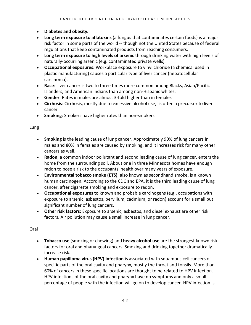- **Diabetes and obesity.**
- **Long term exposure to aflatoxins** (a fungus that contaminates certain foods) is a major risk factor in some parts of the world -- though not the United States because of federal regulations that keep contaminated products from reaching consumers.
- **Long term exposure to high levels of arsenic** through drinking water with high levels of naturally-occurring arsenic (e.g. contaminated private wells).
- **Occupational exposures:** Workplace exposure to vinyl chloride (a chemical used in plastic manufacturing) causes a particular type of liver cancer (hepatocellular carcinoma).
- **Race**: Liver cancer is two to three times more common among Blacks, Asian/Pacific Islanders, and American Indians than among non-Hispanic whites.
- **Gender**: Rates in males are almost 3-fold higher than in females
- **Cirrhosis**: Cirrhosis, mostly due to excessive alcohol use, is often a precursor to liver cancer
- **Smoking**: Smokers have higher rates than non-smokers

#### Lung

- **Smoking** is the leading cause of lung cancer. Approximately 90% of lung cancers in males and 80% in females are caused by smoking, and it increases risk for many other cancers as well.
- **Radon**, a common indoor pollutant and second leading cause of lung cancer, enters the home from the surrounding soil. About one in three Minnesota homes have enough radon to pose a risk to the occupants' health over many years of exposure.
- **Environmental tobacco smoke (ETS)**, also known as secondhand smoke, is a known human carcinogen. According to the CDC and EPA, it is the third leading cause of lung cancer, after cigarette smoking and exposure to radon.
- **Occupational exposures** to known and probable carcinogens (e.g., occupations with exposure to arsenic, asbestos, beryllium, cadmium, or radon) account for a small but significant number of lung cancers.
- **Other risk factors:** Exposure to arsenic, asbestos, and diesel exhaust are other risk factors. Air pollution may cause a small increase in lung cancer.

Oral

- **Tobacco use** (smoking or chewing) and **heavy alcohol use** are the strongest known risk factors for oral and pharyngeal cancers. Smoking and drinking together dramatically increase risk.
- **Human papilloma virus (HPV) infection** is associated with squamous cell cancers of specific parts of the oral cavity and pharynx, mostly the throat and tonsils. More than 60% of cancers in these specific locations are thought to be related to HPV infection. HPV infections of the oral cavity and pharynx have no symptoms and only a small percentage of people with the infection will go on to develop cancer. HPV infection is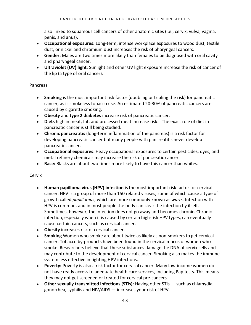also linked to squamous cell cancers of other anatomic sites (i.e., cervix, vulva, vagina, penis, and anus).

- **Occupational exposures:** Long-term, intense workplace exposures to wood dust, textile dust, or nickel and chromium dust increases the risk of pharyngeal cancers.
- **Gender:** Males are two times more likely than females to be diagnosed with oral cavity and pharyngeal cancer.
- **Ultraviolet (UV) light**: Sunlight and other UV light exposure increase the risk of cancer of the lip (a type of oral cancer).

#### Pancreas

- **Smoking** is the most important risk factor (doubling or tripling the risk) for pancreatic cancer, as is smokeless tobacco use. An estimated 20-30% of pancreatic cancers are caused by cigarette smoking.
- **Obesity** and **type 2 diabetes** increase risk of pancreatic cancer.
- **Diets** high in meat, fat, and processed meat increase risk. The exact role of diet in pancreatic cancer is still being studied.
- **Chronic pancreatitis** (long-term inflammation of the pancreas) is a risk factor for developing pancreatic cancer but many people with pancreatitis never develop pancreatic cancer.
- **Occupational exposures**: Heavy occupational exposures to certain pesticides, dyes, and metal refinery chemicals may increase the risk of pancreatic cancer.
- **Race:** Blacks are about two times more likely to have this cancer than whites.

#### Cervix

- **Human papilloma virus (HPV) infection** is the most important risk factor for cervical cancer. HPV is a group of more than 150 related viruses, some of which cause a type of growth called *papillomas*, which are more commonly known as *warts.* Infection with HPV is common, and in most people the body can clear the infection by itself. Sometimes, however, the infection does not go away and becomes chronic. Chronic infection, especially when it is caused by certain high-risk HPV types, can eventually cause certain cancers, such as cervical cancer.
- **Obesity** increases risk of cervical cancer.
- **Smoking** Women who smoke are about twice as likely as non-smokers to get cervical cancer. Tobacco by-products have been found in the cervical mucus of women who smoke. Researchers believe that these substances damage the DNA of cervix cells and may contribute to the development of cervical cancer. Smoking also makes the immune system less effective in fighting HPV infections.
- **Poverty:** Poverty is also a risk factor for cervical cancer. Many low-income women do not have ready access to adequate health care services, including Pap tests. This means they may not get screened or treated for cervical pre-cancers.
- **Other sexually transmitted infections (STIs):** Having other STIs such as chlamydia, gonorrhea, syphilis and HIV/AIDS — increases your risk of HPV.